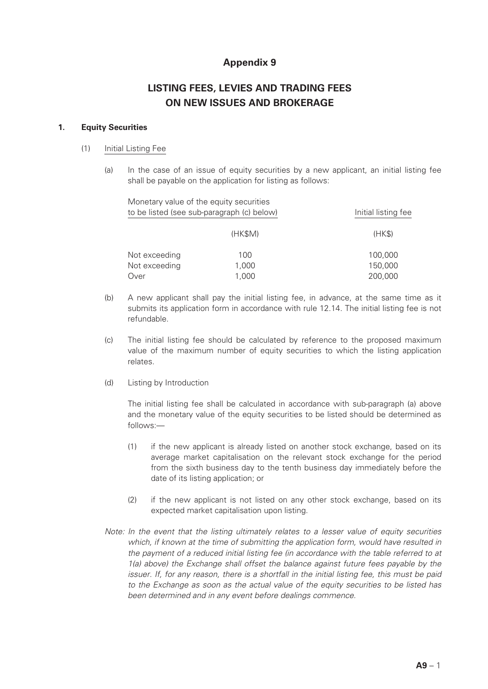## **Appendix 9**

# **LISTING FEES, LEVIES AND TRADING FEES ON NEW ISSUES AND BROKERAGE**

## **1. Equity Securities**

#### (1) Initial Listing Fee

(a) In the case of an issue of equity securities by a new applicant, an initial listing fee shall be payable on the application for listing as follows:

| Monetary value of the equity securities<br>to be listed (see sub-paragraph (c) below) |         | Initial listing fee |
|---------------------------------------------------------------------------------------|---------|---------------------|
|                                                                                       | (HK\$M) | (HKS)               |
| Not exceeding                                                                         | 100     | 100,000             |
| Not exceeding                                                                         | 1,000   | 150,000             |
| Over                                                                                  | 1,000   | 200,000             |

- (b) A new applicant shall pay the initial listing fee, in advance, at the same time as it submits its application form in accordance with rule 12.14. The initial listing fee is not refundable.
- (c) The initial listing fee should be calculated by reference to the proposed maximum value of the maximum number of equity securities to which the listing application relates.
- (d) Listing by Introduction

The initial listing fee shall be calculated in accordance with sub-paragraph (a) above and the monetary value of the equity securities to be listed should be determined as follows:—

- (1) if the new applicant is already listed on another stock exchange, based on its average market capitalisation on the relevant stock exchange for the period from the sixth business day to the tenth business day immediately before the date of its listing application; or
- (2) if the new applicant is not listed on any other stock exchange, based on its expected market capitalisation upon listing.
- *Note: In the event that the listing ultimately relates to a lesser value of equity securities which, if known at the time of submitting the application form, would have resulted in the payment of a reduced initial listing fee (in accordance with the table referred to at 1(a) above) the Exchange shall offset the balance against future fees payable by the issuer. If, for any reason, there is a shortfall in the initial listing fee, this must be paid to the Exchange as soon as the actual value of the equity securities to be listed has been determined and in any event before dealings commence.*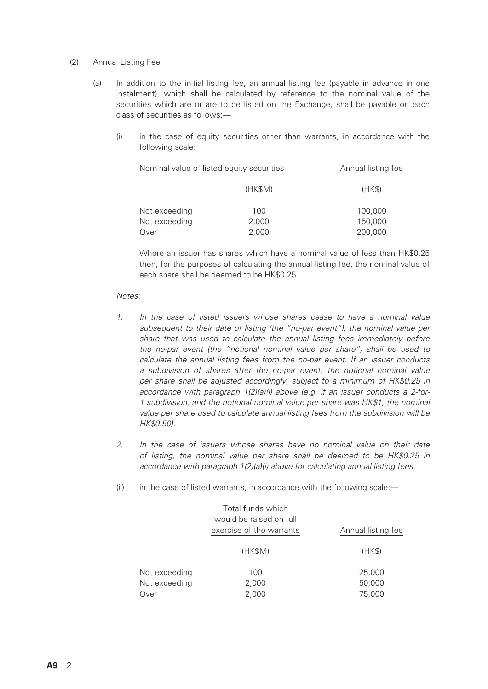#### (2) Annual Listing Fee

- (a) In addition to the initial listing fee, an annual listing fee (payable in advance in one instalment), which shall be calculated by reference to the nominal value of the securities which are or are to be listed on the Exchange, shall be payable on each class of securities as follows:—
	- (i) in the case of equity securities other than warrants, in accordance with the following scale:

| Nominal value of listed equity securities |         | Annual listing fee |
|-------------------------------------------|---------|--------------------|
|                                           | (HK\$M) | (HK\$)             |
| Not exceeding                             | 100     | 100,000            |
| Not exceeding                             | 2,000   | 150,000            |
| Over                                      | 2,000   | 200,000            |

Where an issuer has shares which have a nominal value of less than HK\$0.25 then, for the purposes of calculating the annual listing fee, the nominal value of each share shall be deemed to be HK\$0.25.

#### *Notes:*

- *1. In the case of listed issuers whose shares cease to have a nominal value subsequent to their date of listing (the "no-par event"), the nominal value per share that was used to calculate the annual listing fees immediately before the no-par event (the "notional nominal value per share") shall be used to calculate the annual listing fees from the no-par event. If an issuer conducts a subdivision of shares after the no-par event, the notional nominal value per share shall be adjusted accordingly, subject to a minimum of HK\$0.25 in accordance with paragraph 1(2)(a)(i) above (e.g. if an issuer conducts a 2-for-1 subdivision, and the notional nominal value per share was HK\$1, the nominal value per share used to calculate annual listing fees from the subdivision will be HK\$0.50).*
- *2. In the case of issuers whose shares have no nominal value on their date of listing, the nominal value per share shall be deemed to be HK\$0.25 in accordance with paragraph 1(2)(a)(i) above for calculating annual listing fees.*
- (ii) in the case of listed warrants, in accordance with the following scale:-

|                                        | Total funds which<br>would be raised on full<br>exercise of the warrants | Annual listing fee         |  |
|----------------------------------------|--------------------------------------------------------------------------|----------------------------|--|
|                                        | (HK\$M)                                                                  | (HK\$)                     |  |
| Not exceeding<br>Not exceeding<br>Over | 100<br>2,000<br>2,000                                                    | 25,000<br>50,000<br>75,000 |  |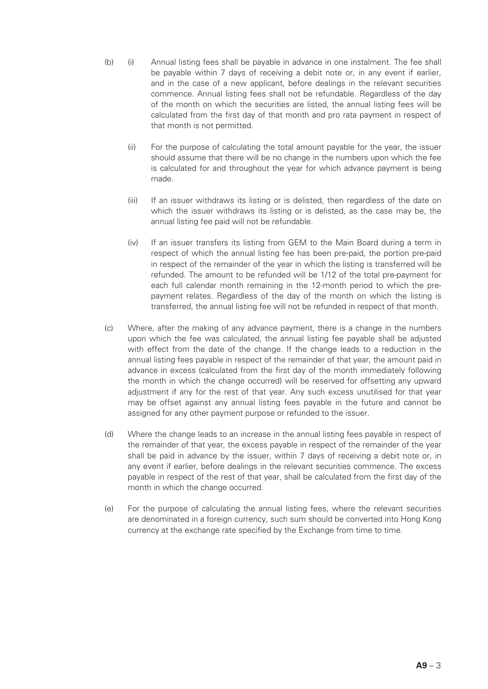- (b) (i) Annual listing fees shall be payable in advance in one instalment. The fee shall be payable within 7 days of receiving a debit note or, in any event if earlier, and in the case of a new applicant, before dealings in the relevant securities commence. Annual listing fees shall not be refundable. Regardless of the day of the month on which the securities are listed, the annual listing fees will be calculated from the first day of that month and pro rata payment in respect of that month is not permitted.
	- (ii) For the purpose of calculating the total amount payable for the year, the issuer should assume that there will be no change in the numbers upon which the fee is calculated for and throughout the year for which advance payment is being made.
	- (iii) If an issuer withdraws its listing or is delisted, then regardless of the date on which the issuer withdraws its listing or is delisted, as the case may be, the annual listing fee paid will not be refundable.
	- (iv) If an issuer transfers its listing from GEM to the Main Board during a term in respect of which the annual listing fee has been pre-paid, the portion pre-paid in respect of the remainder of the year in which the listing is transferred will be refunded. The amount to be refunded will be 1/12 of the total pre-payment for each full calendar month remaining in the 12-month period to which the prepayment relates. Regardless of the day of the month on which the listing is transferred, the annual listing fee will not be refunded in respect of that month.
- (c) Where, after the making of any advance payment, there is a change in the numbers upon which the fee was calculated, the annual listing fee payable shall be adjusted with effect from the date of the change. If the change leads to a reduction in the annual listing fees payable in respect of the remainder of that year, the amount paid in advance in excess (calculated from the first day of the month immediately following the month in which the change occurred) will be reserved for offsetting any upward adjustment if any for the rest of that year. Any such excess unutilised for that year may be offset against any annual listing fees payable in the future and cannot be assigned for any other payment purpose or refunded to the issuer.
- (d) Where the change leads to an increase in the annual listing fees payable in respect of the remainder of that year, the excess payable in respect of the remainder of the year shall be paid in advance by the issuer, within 7 days of receiving a debit note or, in any event if earlier, before dealings in the relevant securities commence. The excess payable in respect of the rest of that year, shall be calculated from the first day of the month in which the change occurred.
- (e) For the purpose of calculating the annual listing fees, where the relevant securities are denominated in a foreign currency, such sum should be converted into Hong Kong currency at the exchange rate specified by the Exchange from time to time.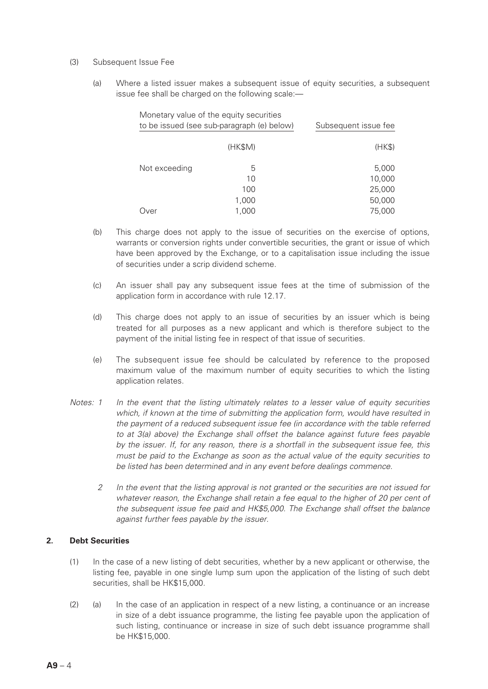- (3) Subsequent Issue Fee
	- (a) Where a listed issuer makes a subsequent issue of equity securities, a subsequent issue fee shall be charged on the following scale:—

|                                            | Monetary value of the equity securities |                      |
|--------------------------------------------|-----------------------------------------|----------------------|
| to be issued (see sub-paragraph (e) below) |                                         | Subsequent issue fee |
|                                            |                                         |                      |
|                                            | (HK\$M)                                 | (HK\$)               |
|                                            |                                         |                      |
| Not exceeding                              | 5                                       | 5,000                |
|                                            | 10                                      | 10,000               |
|                                            | 100                                     | 25,000               |
|                                            | 1,000                                   | 50,000               |
| Over                                       | 1,000                                   | 75,000               |
|                                            |                                         |                      |

- (b) This charge does not apply to the issue of securities on the exercise of options, warrants or conversion rights under convertible securities, the grant or issue of which have been approved by the Exchange, or to a capitalisation issue including the issue of securities under a scrip dividend scheme.
- (c) An issuer shall pay any subsequent issue fees at the time of submission of the application form in accordance with rule 12.17.
- (d) This charge does not apply to an issue of securities by an issuer which is being treated for all purposes as a new applicant and which is therefore subject to the payment of the initial listing fee in respect of that issue of securities.
- (e) The subsequent issue fee should be calculated by reference to the proposed maximum value of the maximum number of equity securities to which the listing application relates.
- *Notes: 1 In the event that the listing ultimately relates to a lesser value of equity securities which, if known at the time of submitting the application form, would have resulted in the payment of a reduced subsequent issue fee (in accordance with the table referred to at 3(a) above) the Exchange shall offset the balance against future fees payable by the issuer. If, for any reason, there is a shortfall in the subsequent issue fee, this must be paid to the Exchange as soon as the actual value of the equity securities to be listed has been determined and in any event before dealings commence.*
	- *2 In the event that the listing approval is not granted or the securities are not issued for whatever reason, the Exchange shall retain a fee equal to the higher of 20 per cent of the subsequent issue fee paid and HK\$5,000. The Exchange shall offset the balance against further fees payable by the issuer.*

## **2. Debt Securities**

- (1) In the case of a new listing of debt securities, whether by a new applicant or otherwise, the listing fee, payable in one single lump sum upon the application of the listing of such debt securities, shall be HK\$15,000.
- (2) (a) In the case of an application in respect of a new listing, a continuance or an increase in size of a debt issuance programme, the listing fee payable upon the application of such listing, continuance or increase in size of such debt issuance programme shall be HK\$15,000.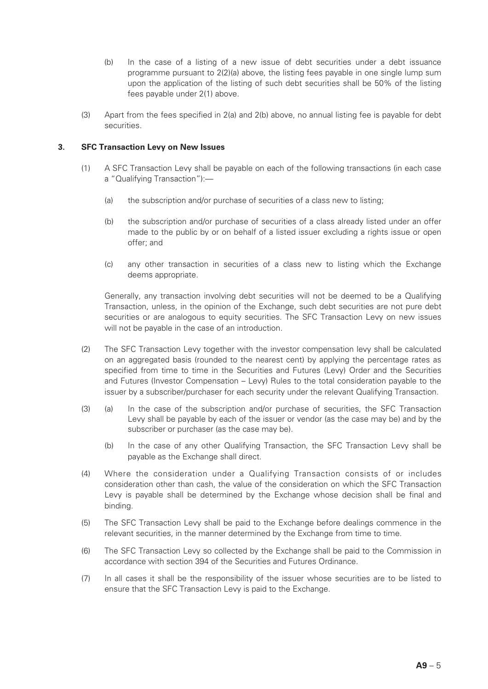- (b) In the case of a listing of a new issue of debt securities under a debt issuance programme pursuant to 2(2)(a) above, the listing fees payable in one single lump sum upon the application of the listing of such debt securities shall be 50% of the listing fees payable under 2(1) above.
- (3) Apart from the fees specified in 2(a) and 2(b) above, no annual listing fee is payable for debt securities.

#### **3. SFC Transaction Levy on New Issues**

- (1) A SFC Transaction Levy shall be payable on each of the following transactions (in each case a "Qualifying Transaction"):—
	- (a) the subscription and/or purchase of securities of a class new to listing;
	- (b) the subscription and/or purchase of securities of a class already listed under an offer made to the public by or on behalf of a listed issuer excluding a rights issue or open offer; and
	- (c) any other transaction in securities of a class new to listing which the Exchange deems appropriate.

Generally, any transaction involving debt securities will not be deemed to be a Qualifying Transaction, unless, in the opinion of the Exchange, such debt securities are not pure debt securities or are analogous to equity securities. The SFC Transaction Levy on new issues will not be payable in the case of an introduction.

- (2) The SFC Transaction Levy together with the investor compensation levy shall be calculated on an aggregated basis (rounded to the nearest cent) by applying the percentage rates as specified from time to time in the Securities and Futures (Levy) Order and the Securities and Futures (Investor Compensation – Levy) Rules to the total consideration payable to the issuer by a subscriber/purchaser for each security under the relevant Qualifying Transaction.
- (3) (a) In the case of the subscription and/or purchase of securities, the SFC Transaction Levy shall be payable by each of the issuer or vendor (as the case may be) and by the subscriber or purchaser (as the case may be).
	- (b) In the case of any other Qualifying Transaction, the SFC Transaction Levy shall be payable as the Exchange shall direct.
- (4) Where the consideration under a Qualifying Transaction consists of or includes consideration other than cash, the value of the consideration on which the SFC Transaction Levy is payable shall be determined by the Exchange whose decision shall be final and binding.
- (5) The SFC Transaction Levy shall be paid to the Exchange before dealings commence in the relevant securities, in the manner determined by the Exchange from time to time.
- (6) The SFC Transaction Levy so collected by the Exchange shall be paid to the Commission in accordance with section 394 of the Securities and Futures Ordinance.
- (7) In all cases it shall be the responsibility of the issuer whose securities are to be listed to ensure that the SFC Transaction Levy is paid to the Exchange.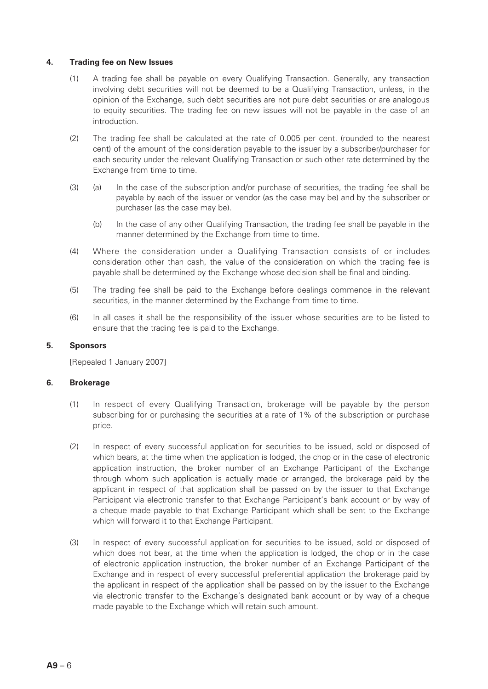#### **4. Trading fee on New Issues**

- (1) A trading fee shall be payable on every Qualifying Transaction. Generally, any transaction involving debt securities will not be deemed to be a Qualifying Transaction, unless, in the opinion of the Exchange, such debt securities are not pure debt securities or are analogous to equity securities. The trading fee on new issues will not be payable in the case of an introduction.
- (2) The trading fee shall be calculated at the rate of 0.005 per cent. (rounded to the nearest cent) of the amount of the consideration payable to the issuer by a subscriber/purchaser for each security under the relevant Qualifying Transaction or such other rate determined by the Exchange from time to time.
- (3) (a) In the case of the subscription and/or purchase of securities, the trading fee shall be payable by each of the issuer or vendor (as the case may be) and by the subscriber or purchaser (as the case may be).
	- (b) In the case of any other Qualifying Transaction, the trading fee shall be payable in the manner determined by the Exchange from time to time.
- (4) Where the consideration under a Qualifying Transaction consists of or includes consideration other than cash, the value of the consideration on which the trading fee is payable shall be determined by the Exchange whose decision shall be final and binding.
- (5) The trading fee shall be paid to the Exchange before dealings commence in the relevant securities, in the manner determined by the Exchange from time to time.
- (6) In all cases it shall be the responsibility of the issuer whose securities are to be listed to ensure that the trading fee is paid to the Exchange.

## **5. Sponsors**

[Repealed 1 January 2007]

#### **6. Brokerage**

- (1) In respect of every Qualifying Transaction, brokerage will be payable by the person subscribing for or purchasing the securities at a rate of 1% of the subscription or purchase price.
- (2) In respect of every successful application for securities to be issued, sold or disposed of which bears, at the time when the application is lodged, the chop or in the case of electronic application instruction, the broker number of an Exchange Participant of the Exchange through whom such application is actually made or arranged, the brokerage paid by the applicant in respect of that application shall be passed on by the issuer to that Exchange Participant via electronic transfer to that Exchange Participant's bank account or by way of a cheque made payable to that Exchange Participant which shall be sent to the Exchange which will forward it to that Exchange Participant.
- (3) In respect of every successful application for securities to be issued, sold or disposed of which does not bear, at the time when the application is lodged, the chop or in the case of electronic application instruction, the broker number of an Exchange Participant of the Exchange and in respect of every successful preferential application the brokerage paid by the applicant in respect of the application shall be passed on by the issuer to the Exchange via electronic transfer to the Exchange's designated bank account or by way of a cheque made payable to the Exchange which will retain such amount.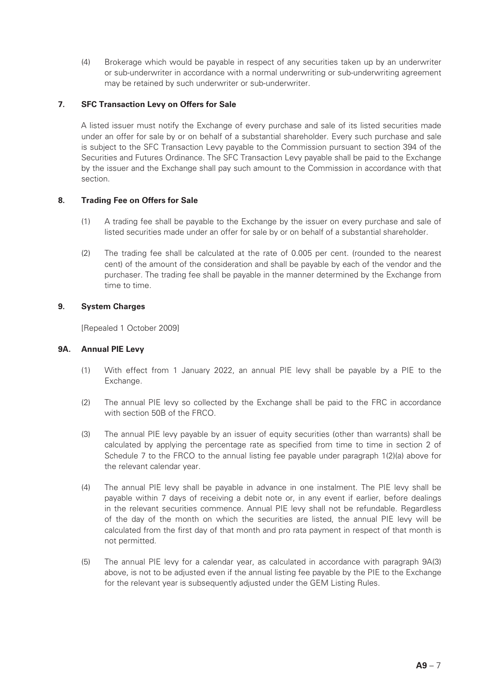(4) Brokerage which would be payable in respect of any securities taken up by an underwriter or sub-underwriter in accordance with a normal underwriting or sub-underwriting agreement may be retained by such underwriter or sub-underwriter.

## **7. SFC Transaction Levy on Offers for Sale**

A listed issuer must notify the Exchange of every purchase and sale of its listed securities made under an offer for sale by or on behalf of a substantial shareholder. Every such purchase and sale is subject to the SFC Transaction Levy payable to the Commission pursuant to section 394 of the Securities and Futures Ordinance. The SFC Transaction Levy payable shall be paid to the Exchange by the issuer and the Exchange shall pay such amount to the Commission in accordance with that section.

## **8. Trading Fee on Offers for Sale**

- (1) A trading fee shall be payable to the Exchange by the issuer on every purchase and sale of listed securities made under an offer for sale by or on behalf of a substantial shareholder.
- (2) The trading fee shall be calculated at the rate of 0.005 per cent. (rounded to the nearest cent) of the amount of the consideration and shall be payable by each of the vendor and the purchaser. The trading fee shall be payable in the manner determined by the Exchange from time to time.

#### **9. System Charges**

[Repealed 1 October 2009]

#### **9A. Annual PIE Levy**

- (1) With effect from 1 January 2022, an annual PIE levy shall be payable by a PIE to the Exchange.
- (2) The annual PIE levy so collected by the Exchange shall be paid to the FRC in accordance with section 50B of the FRCO.
- (3) The annual PIE levy payable by an issuer of equity securities (other than warrants) shall be calculated by applying the percentage rate as specified from time to time in section 2 of Schedule 7 to the FRCO to the annual listing fee payable under paragraph 1(2)(a) above for the relevant calendar year.
- (4) The annual PIE levy shall be payable in advance in one instalment. The PIE levy shall be payable within 7 days of receiving a debit note or, in any event if earlier, before dealings in the relevant securities commence. Annual PIE levy shall not be refundable. Regardless of the day of the month on which the securities are listed, the annual PIE levy will be calculated from the first day of that month and pro rata payment in respect of that month is not permitted.
- (5) The annual PIE levy for a calendar year, as calculated in accordance with paragraph 9A(3) above, is not to be adjusted even if the annual listing fee payable by the PIE to the Exchange for the relevant year is subsequently adjusted under the GEM Listing Rules.